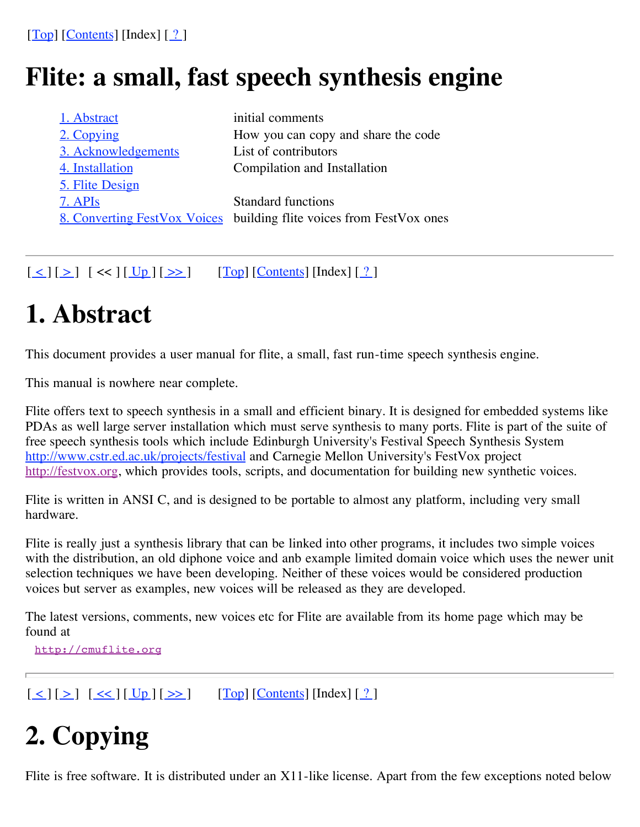# **Flite: a small, fast speech synthesis engine**

| 1. Abstract         | initial comments                                                            |
|---------------------|-----------------------------------------------------------------------------|
| 2. Copying          | How you can copy and share the code                                         |
| 3. Acknowledgements | List of contributors                                                        |
| 4. Installation     | Compilation and Installation                                                |
| 5. Flite Design     |                                                                             |
| 7. APIs             | <b>Standard functions</b>                                                   |
|                     | <u>8. Converting FestVox Voices</u> building flite voices from FestVox ones |
|                     |                                                                             |

 $[\leq] [\geq] [\leq] [\leq] [\underline{Up}][\geq]$   $[\underline{Top}][\underline{Contents}][\underline{1}][\leq]$ 

# **1. Abstract**

This document provides a user manual for flite, a small, fast run-time speech synthesis engine.

This manual is nowhere near complete.

Flite offers text to speech synthesis in a small and efficient binary. It is designed for embedded systems like PDAs as well large server installation which must serve synthesis to many ports. Flite is part of the suite of free speech synthesis tools which include Edinburgh University's Festival Speech Synthesis System http://www.cstr.ed.ac.uk/projects/festival and Carnegie Mellon University's FestVox project http://festvox.org, which provides tools, scripts, and documentation for building new synthetic voices.

Flite is written in ANSI C, and is designed to be portable to almost any platform, including very small hardware.

Flite is really just a synthesis library that can be linked into other programs, it includes two simple voices with the distribution, an old diphone voice and anb example limited domain voice which uses the newer unit selection techniques we have been developing. Neither of these voices would be considered production voices but server as examples, new voices will be released as they are developed.

The latest versions, comments, new voices etc for Flite are available from its home page which may be found at

http://cmuflite.org

 $[\leq] [\geq] [\leq \leq] [\text{Up}][\geq]$   $[\text{Top}][\text{Contents}][\text{Index}][?]$ 

# **2. Copying**

Flite is free software. It is distributed under an X11-like license. Apart from the few exceptions noted below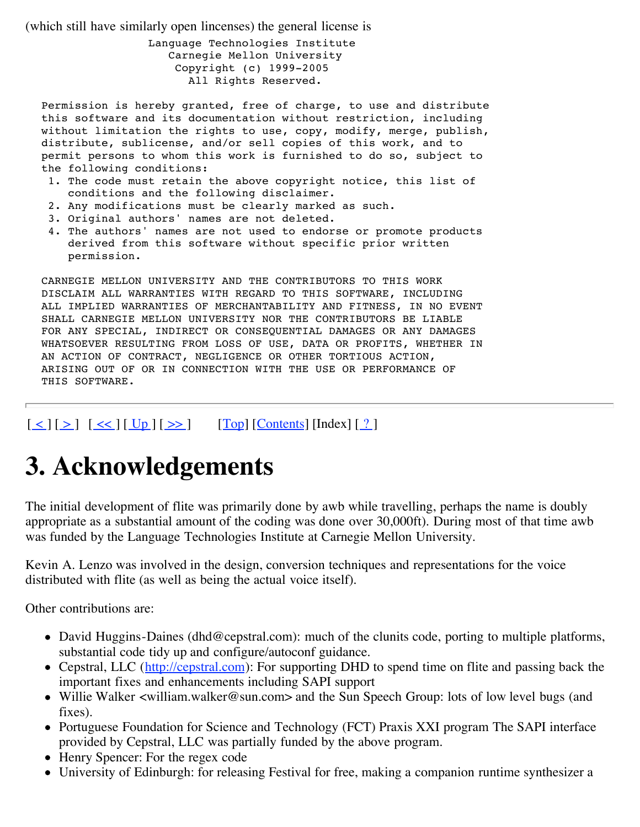(which still have similarly open lincenses) the general license is

Language Technologies Institute Carnegie Mellon University Copyright (c) 1999-2005 All Rights Reserved.

Permission is hereby granted, free of charge, to use and distribute this software and its documentation without restriction, including without limitation the rights to use, copy, modify, merge, publish, distribute, sublicense, and/or sell copies of this work, and to permit persons to whom this work is furnished to do so, subject to the following conditions:

- 1. The code must retain the above copyright notice, this list of conditions and the following disclaimer.
- 2. Any modifications must be clearly marked as such.
- 3. Original authors' names are not deleted.
- 4. The authors' names are not used to endorse or promote products derived from this software without specific prior written permission.

CARNEGIE MELLON UNIVERSITY AND THE CONTRIBUTORS TO THIS WORK DISCLAIM ALL WARRANTIES WITH REGARD TO THIS SOFTWARE, INCLUDING ALL IMPLIED WARRANTIES OF MERCHANTABILITY AND FITNESS, IN NO EVENT SHALL CARNEGIE MELLON UNIVERSITY NOR THE CONTRIBUTORS BE LIABLE FOR ANY SPECIAL, INDIRECT OR CONSEQUENTIAL DAMAGES OR ANY DAMAGES WHATSOEVER RESULTING FROM LOSS OF USE, DATA OR PROFITS, WHETHER IN AN ACTION OF CONTRACT, NEGLIGENCE OR OTHER TORTIOUS ACTION, ARISING OUT OF OR IN CONNECTION WITH THE USE OR PERFORMANCE OF THIS SOFTWARE.

 $[\leq] [\geq] [\leq \leq] [\text{Up}][\geq]$   $[\text{Top}][\text{Contents}][\text{Index}][?]$ 

## **3. Acknowledgements**

The initial development of flite was primarily done by awb while travelling, perhaps the name is doubly appropriate as a substantial amount of the coding was done over 30,000ft). During most of that time awb was funded by the Language Technologies Institute at Carnegie Mellon University.

Kevin A. Lenzo was involved in the design, conversion techniques and representations for the voice distributed with flite (as well as being the actual voice itself).

Other contributions are:

- David Huggins-Daines (dhd@cepstral.com): much of the clunits code, porting to multiple platforms, substantial code tidy up and configure/autoconf guidance.
- Cepstral, LLC (http://cepstral.com): For supporting DHD to spend time on flite and passing back the important fixes and enhancements including SAPI support
- Willie Walker <william.walker@sun.com> and the Sun Speech Group: lots of low level bugs (and fixes).
- Portuguese Foundation for Science and Technology (FCT) Praxis XXI program The SAPI interface provided by Cepstral, LLC was partially funded by the above program.
- Henry Spencer: For the regex code
- University of Edinburgh: for releasing Festival for free, making a companion runtime synthesizer a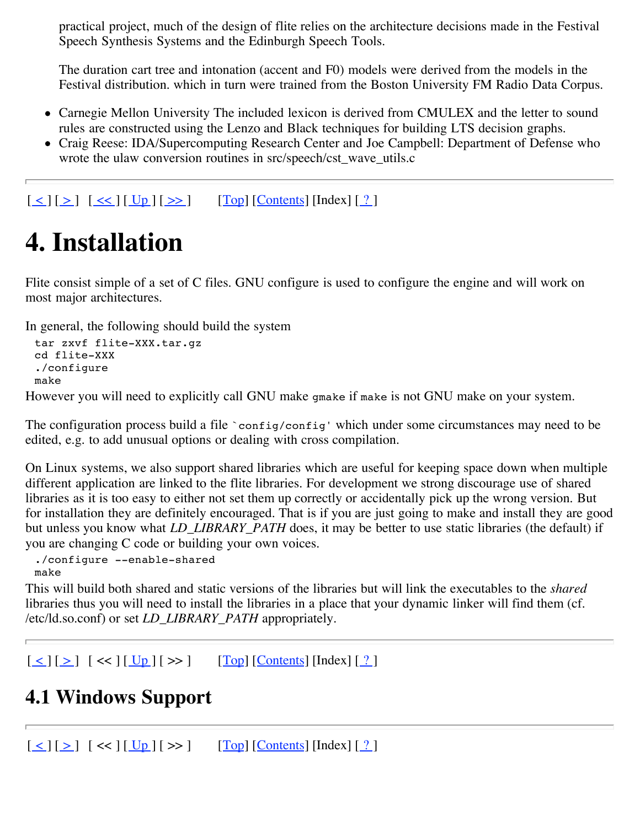practical project, much of the design of flite relies on the architecture decisions made in the Festival Speech Synthesis Systems and the Edinburgh Speech Tools.

The duration cart tree and intonation (accent and F0) models were derived from the models in the Festival distribution. which in turn were trained from the Boston University FM Radio Data Corpus.

- Carnegie Mellon University The included lexicon is derived from CMULEX and the letter to sound rules are constructed using the Lenzo and Black techniques for building LTS decision graphs.
- Craig Reese: IDA/Supercomputing Research Center and Joe Campbell: Department of Defense who wrote the ulaw conversion routines in src/speech/cst\_wave\_utils.c

 $[\leq] [\geq] [\leq \leq] [\underline{Up}][\geq \geq]$   $[\underline{Top}][\underline{Contents}][\underline{In}]\in[2]$ 

# **4. Installation**

Flite consist simple of a set of C files. GNU configure is used to configure the engine and will work on most major architectures.

In general, the following should build the system

```
tar zxvf flite-XXX.tar.gz
cd flite-XXX
./configure
make
```
However you will need to explicitly call GNU make gmake if make is not GNU make on your system.

The configuration process build a file `config/config' which under some circumstances may need to be edited, e.g. to add unusual options or dealing with cross compilation.

On Linux systems, we also support shared libraries which are useful for keeping space down when multiple different application are linked to the flite libraries. For development we strong discourage use of shared libraries as it is too easy to either not set them up correctly or accidentally pick up the wrong version. But for installation they are definitely encouraged. That is if you are just going to make and install they are good but unless you know what *LD\_LIBRARY\_PATH* does, it may be better to use static libraries (the default) if you are changing C code or building your own voices.

```
./configure --enable-shared
make
```
This will build both shared and static versions of the libraries but will link the executables to the *shared* libraries thus you will need to install the libraries in a place that your dynamic linker will find them (cf. /etc/ld.so.conf) or set *LD\_LIBRARY\_PATH* appropriately.

```
[\leq] [\geq] [\leq] [\leq] [\underline{Up}][\geq] [\underline{Top}][\underline{Contents}][\underline{Inv}][\leq]
```
### **4.1 Windows Support**

 $[\leq] [\geq] [\leq] [\leq] [\underline{Up}] [\geq]$   $[\underline{Top}] [\underline{Contents}] [\underline{1}] [\leq]$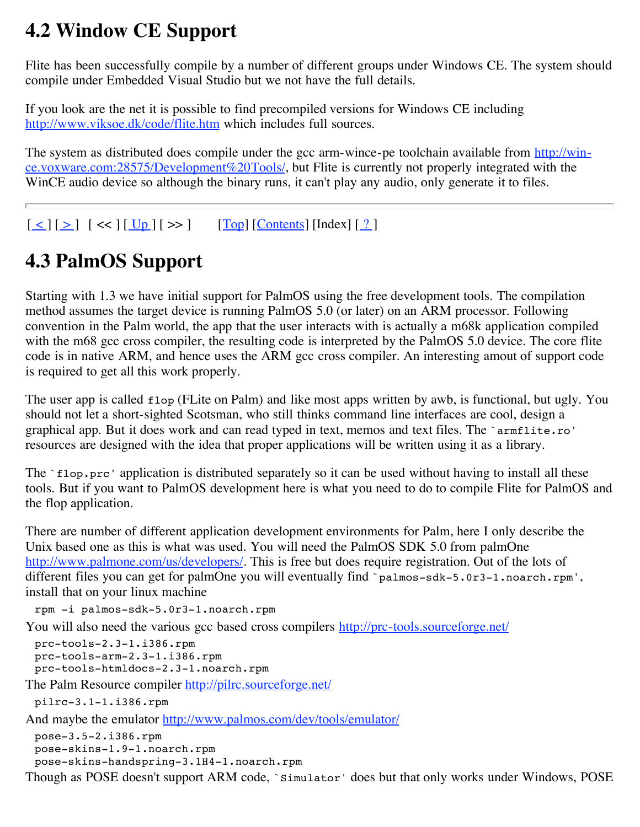#### **4.2 Window CE Support**

Flite has been successfully compile by a number of different groups under Windows CE. The system should compile under Embedded Visual Studio but we not have the full details.

If you look are the net it is possible to find precompiled versions for Windows CE including http://www.viksoe.dk/code/flite.htm which includes full sources.

The system as distributed does compile under the gcc arm-wince-pe toolchain available from http://wince.voxware.com:28575/Development%20Tools/, but Flite is currently not properly integrated with the WinCE audio device so although the binary runs, it can't play any audio, only generate it to files.

 $[\leq] [\geq] [\leq] [\leq] [\underline{Up}][\geq]$   $[\underline{Top}][\underline{Contents}][\underline{In}]\in[?]$ 

## **4.3 PalmOS Support**

Starting with 1.3 we have initial support for PalmOS using the free development tools. The compilation method assumes the target device is running PalmOS 5.0 (or later) on an ARM processor. Following convention in the Palm world, the app that the user interacts with is actually a m68k application compiled with the m68 gcc cross compiler, the resulting code is interpreted by the PalmOS 5.0 device. The core flite code is in native ARM, and hence uses the ARM gcc cross compiler. An interesting amout of support code is required to get all this work properly.

The user app is called flop (FLite on Palm) and like most apps written by awb, is functional, but ugly. You should not let a short-sighted Scotsman, who still thinks command line interfaces are cool, design a graphical app. But it does work and can read typed in text, memos and text files. The `armflite.ro' resources are designed with the idea that proper applications will be written using it as a library.

The `flop.prc' application is distributed separately so it can be used without having to install all these tools. But if you want to PalmOS development here is what you need to do to compile Flite for PalmOS and the flop application.

There are number of different application development environments for Palm, here I only describe the Unix based one as this is what was used. You will need the PalmOS SDK 5.0 from palmOne http://www.palmone.com/us/developers/. This is free but does require registration. Out of the lots of different files you can get for palmOne you will eventually find `palmos-sdk-5.0r3-1.noarch.rpm', install that on your linux machine

rpm -i palmos-sdk-5.0r3-1.noarch.rpm

You will also need the various gcc based cross compilers http://prc-tools.sourceforge.net/

```
prc-tools-2.3-1.i386.rpm
prc-tools-arm-2.3-1.i386.rpm
prc-tools-htmldocs-2.3-1.noarch.rpm
```
The Palm Resource compiler http://pilrc.sourceforge.net/

```
pilrc-3.1-1.i386.rpm
```
And maybe the emulator http://www.palmos.com/dev/tools/emulator/

```
pose-3.5-2.i386.rpm
pose-skins-1.9-1.noarch.rpm
pose-skins-handspring-3.1H4-1.noarch.rpm
```
Though as POSE doesn't support ARM code, `Simulator' does but that only works under Windows, POSE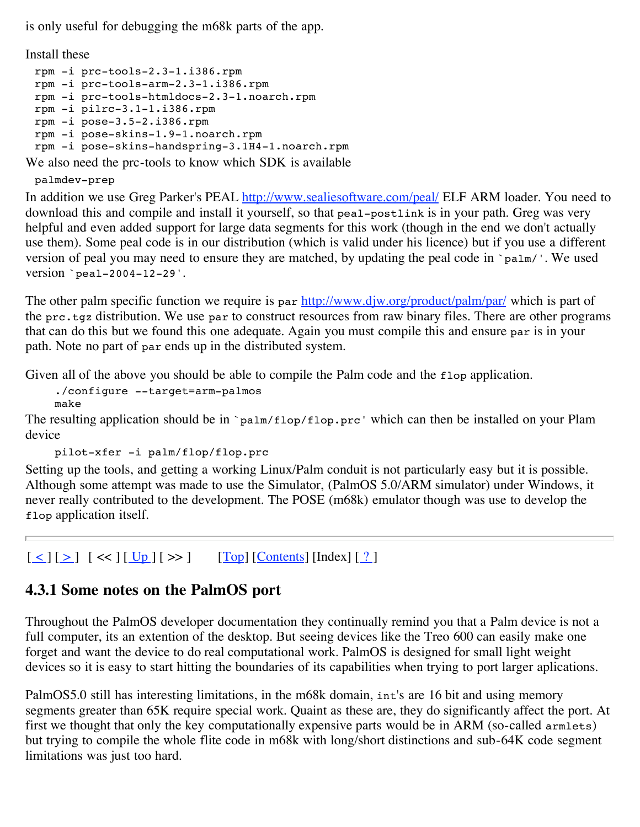is only useful for debugging the m68k parts of the app.

Install these

```
rpm -i prc-tools-2.3-1.i386.rpm
rpm -i prc-tools-arm-2.3-1.i386.rpm
rpm -i prc-tools-htmldocs-2.3-1.noarch.rpm
rpm -i pilrc-3.1-1.i386.rpm
rpm -i pose-3.5-2.i386.rpm
rpm -i pose-skins-1.9-1.noarch.rpm
rpm -i pose-skins-handspring-3.1H4-1.noarch.rpm
```
We also need the prc-tools to know which SDK is available

palmdev-prep

In addition we use Greg Parker's PEAL http://www.sealiesoftware.com/peal/ ELF ARM loader. You need to download this and compile and install it yourself, so that peal-postlink is in your path. Greg was very helpful and even added support for large data segments for this work (though in the end we don't actually use them). Some peal code is in our distribution (which is valid under his licence) but if you use a different version of peal you may need to ensure they are matched, by updating the peal code in `palm/'. We used version `peal-2004-12-29'.

The other palm specific function we require is par http://www.djw.org/product/palm/par/ which is part of the prc.tgz distribution. We use par to construct resources from raw binary files. There are other programs that can do this but we found this one adequate. Again you must compile this and ensure par is in your path. Note no part of par ends up in the distributed system.

Given all of the above you should be able to compile the Palm code and the  $flop$  application.

./configure --target=arm-palmos make

The resulting application should be in `palm/flop/flop.prc' which can then be installed on your Plam device

```
pilot-xfer -i palm/flop/flop.prc
```
Setting up the tools, and getting a working Linux/Palm conduit is not particularly easy but it is possible. Although some attempt was made to use the Simulator, (PalmOS 5.0/ARM simulator) under Windows, it never really contributed to the development. The POSE (m68k) emulator though was use to develop the flop application itself.

 $\lceil \leq | \lceil \geq | \rceil \ll | \lfloor \frac{Up}{\rceil} \rceil \gg | \qquad \text{[Top]} \lceil \text{Contents} \rceil \lceil \text{Index} \rceil \lceil \frac{?}{'} \rceil$ 

#### **4.3.1 Some notes on the PalmOS port**

Throughout the PalmOS developer documentation they continually remind you that a Palm device is not a full computer, its an extention of the desktop. But seeing devices like the Treo 600 can easily make one forget and want the device to do real computational work. PalmOS is designed for small light weight devices so it is easy to start hitting the boundaries of its capabilities when trying to port larger aplications.

PalmOS5.0 still has interesting limitations, in the m68k domain, int's are 16 bit and using memory segments greater than 65K require special work. Quaint as these are, they do significantly affect the port. At first we thought that only the key computationally expensive parts would be in ARM (so-called armlets) but trying to compile the whole flite code in m68k with long/short distinctions and sub-64K code segment limitations was just too hard.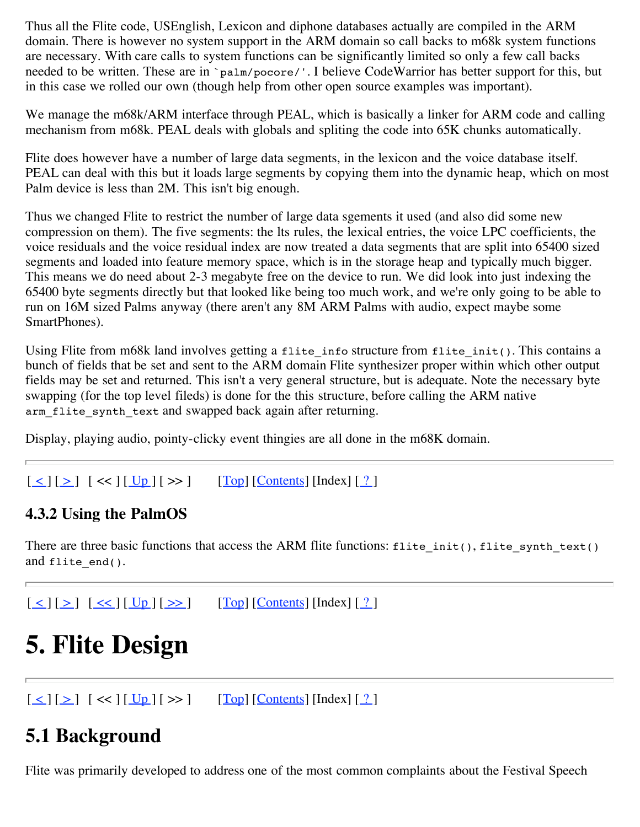Thus all the Flite code, USEnglish, Lexicon and diphone databases actually are compiled in the ARM domain. There is however no system support in the ARM domain so call backs to m68k system functions are necessary. With care calls to system functions can be significantly limited so only a few call backs needed to be written. These are in `palm/pocore/'. I believe CodeWarrior has better support for this, but in this case we rolled our own (though help from other open source examples was important).

We manage the m68k/ARM interface through PEAL, which is basically a linker for ARM code and calling mechanism from m68k. PEAL deals with globals and spliting the code into 65K chunks automatically.

Flite does however have a number of large data segments, in the lexicon and the voice database itself. PEAL can deal with this but it loads large segments by copying them into the dynamic heap, which on most Palm device is less than 2M. This isn't big enough.

Thus we changed Flite to restrict the number of large data sgements it used (and also did some new compression on them). The five segments: the lts rules, the lexical entries, the voice LPC coefficients, the voice residuals and the voice residual index are now treated a data segments that are split into 65400 sized segments and loaded into feature memory space, which is in the storage heap and typically much bigger. This means we do need about 2-3 megabyte free on the device to run. We did look into just indexing the 65400 byte segments directly but that looked like being too much work, and we're only going to be able to run on 16M sized Palms anyway (there aren't any 8M ARM Palms with audio, expect maybe some SmartPhones).

Using Flite from m68k land involves getting a flite info structure from flite init(). This contains a bunch of fields that be set and sent to the ARM domain Flite synthesizer proper within which other output fields may be set and returned. This isn't a very general structure, but is adequate. Note the necessary byte swapping (for the top level fileds) is done for the this structure, before calling the ARM native arm flite synth text and swapped back again after returning.

Display, playing audio, pointy-clicky event thingies are all done in the m68K domain.

 $\lceil \leq | \lceil \geq | \rceil \ll | \lceil \frac{Up}{g} \rceil \ll \rceil$  [Top]  $\lceil \frac{\text{Contents}}{\text{Contents}} \rceil \lceil \frac{9}{2} \rceil$ 

#### **4.3.2 Using the PalmOS**

There are three basic functions that access the ARM flite functions: flite init(), flite synth text() and flite\_end().

 $\lceil \leq | \lceil \geq | \lceil \leq \lfloor \lfloor \lfloor \log \rfloor \rfloor \rceil \geq \geq \rceil$  [Top]  $\lceil \frac{\text{Contents}}{\text{Contents}} \rceil \lceil \frac{\lceil \log \lfloor \frac{9}{2} \rceil \rceil}$ 

# **5. Flite Design**

 $[\leq] [\geq] [\leq] [\leq] [\underline{Up}][\geq]$   $[\underline{Top}][\underline{Contents}][\underline{1}][\leq]$ 

### **5.1 Background**

Flite was primarily developed to address one of the most common complaints about the Festival Speech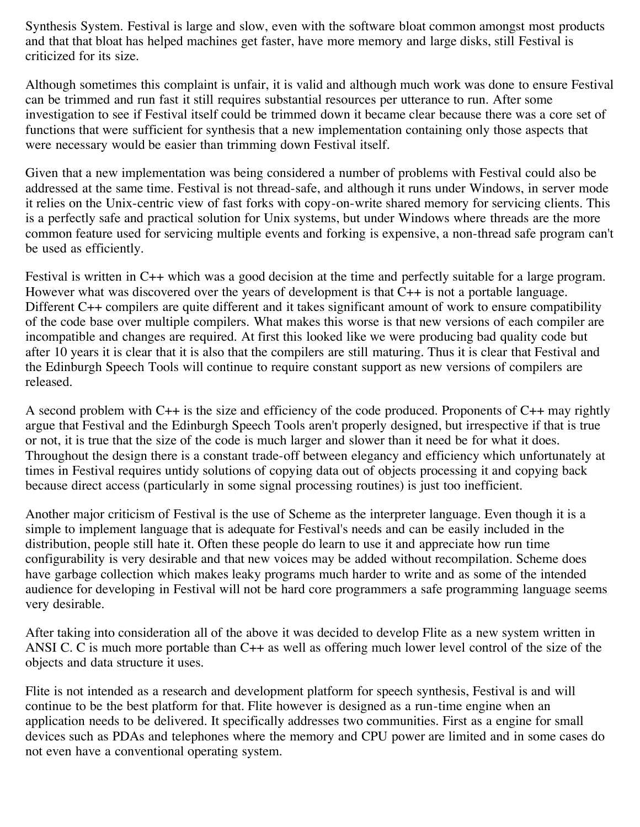Synthesis System. Festival is large and slow, even with the software bloat common amongst most products and that that bloat has helped machines get faster, have more memory and large disks, still Festival is criticized for its size.

Although sometimes this complaint is unfair, it is valid and although much work was done to ensure Festival can be trimmed and run fast it still requires substantial resources per utterance to run. After some investigation to see if Festival itself could be trimmed down it became clear because there was a core set of functions that were sufficient for synthesis that a new implementation containing only those aspects that were necessary would be easier than trimming down Festival itself.

Given that a new implementation was being considered a number of problems with Festival could also be addressed at the same time. Festival is not thread-safe, and although it runs under Windows, in server mode it relies on the Unix-centric view of fast forks with copy-on-write shared memory for servicing clients. This is a perfectly safe and practical solution for Unix systems, but under Windows where threads are the more common feature used for servicing multiple events and forking is expensive, a non-thread safe program can't be used as efficiently.

Festival is written in C++ which was a good decision at the time and perfectly suitable for a large program. However what was discovered over the years of development is that C++ is not a portable language. Different C++ compilers are quite different and it takes significant amount of work to ensure compatibility of the code base over multiple compilers. What makes this worse is that new versions of each compiler are incompatible and changes are required. At first this looked like we were producing bad quality code but after 10 years it is clear that it is also that the compilers are still maturing. Thus it is clear that Festival and the Edinburgh Speech Tools will continue to require constant support as new versions of compilers are released.

A second problem with C++ is the size and efficiency of the code produced. Proponents of C++ may rightly argue that Festival and the Edinburgh Speech Tools aren't properly designed, but irrespective if that is true or not, it is true that the size of the code is much larger and slower than it need be for what it does. Throughout the design there is a constant trade-off between elegancy and efficiency which unfortunately at times in Festival requires untidy solutions of copying data out of objects processing it and copying back because direct access (particularly in some signal processing routines) is just too inefficient.

Another major criticism of Festival is the use of Scheme as the interpreter language. Even though it is a simple to implement language that is adequate for Festival's needs and can be easily included in the distribution, people still hate it. Often these people do learn to use it and appreciate how run time configurability is very desirable and that new voices may be added without recompilation. Scheme does have garbage collection which makes leaky programs much harder to write and as some of the intended audience for developing in Festival will not be hard core programmers a safe programming language seems very desirable.

After taking into consideration all of the above it was decided to develop Flite as a new system written in ANSI C. C is much more portable than C++ as well as offering much lower level control of the size of the objects and data structure it uses.

Flite is not intended as a research and development platform for speech synthesis, Festival is and will continue to be the best platform for that. Flite however is designed as a run-time engine when an application needs to be delivered. It specifically addresses two communities. First as a engine for small devices such as PDAs and telephones where the memory and CPU power are limited and in some cases do not even have a conventional operating system.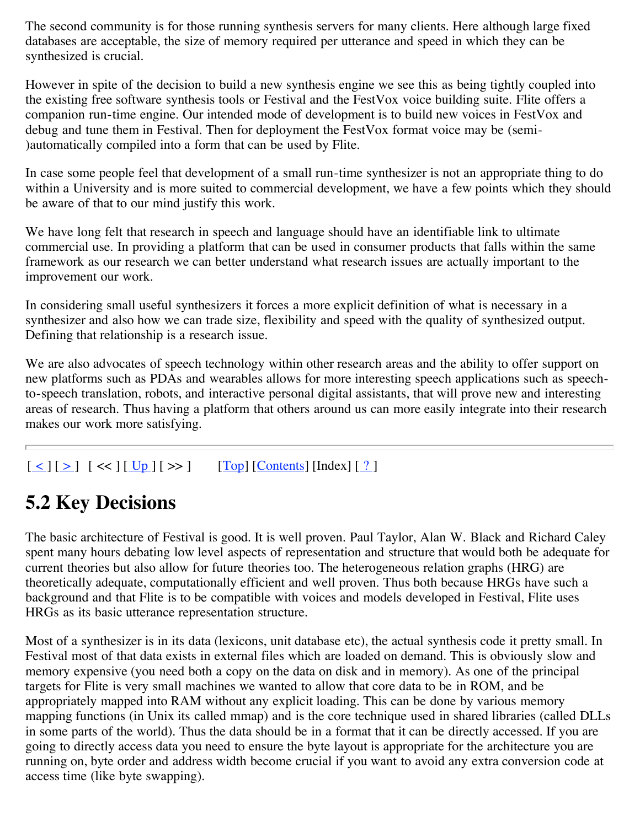The second community is for those running synthesis servers for many clients. Here although large fixed databases are acceptable, the size of memory required per utterance and speed in which they can be synthesized is crucial.

However in spite of the decision to build a new synthesis engine we see this as being tightly coupled into the existing free software synthesis tools or Festival and the FestVox voice building suite. Flite offers a companion run-time engine. Our intended mode of development is to build new voices in FestVox and debug and tune them in Festival. Then for deployment the FestVox format voice may be (semi- )automatically compiled into a form that can be used by Flite.

In case some people feel that development of a small run-time synthesizer is not an appropriate thing to do within a University and is more suited to commercial development, we have a few points which they should be aware of that to our mind justify this work.

We have long felt that research in speech and language should have an identifiable link to ultimate commercial use. In providing a platform that can be used in consumer products that falls within the same framework as our research we can better understand what research issues are actually important to the improvement our work.

In considering small useful synthesizers it forces a more explicit definition of what is necessary in a synthesizer and also how we can trade size, flexibility and speed with the quality of synthesized output. Defining that relationship is a research issue.

We are also advocates of speech technology within other research areas and the ability to offer support on new platforms such as PDAs and wearables allows for more interesting speech applications such as speechto-speech translation, robots, and interactive personal digital assistants, that will prove new and interesting areas of research. Thus having a platform that others around us can more easily integrate into their research makes our work more satisfying.

#### $\lceil \leq | \lceil \geq | \rceil \ll | \lceil \frac{Up}{g} \rceil \ll \rceil$  [Top]  $\lceil \frac{\text{Contents}}{\text{Contents}} \rceil \lceil \frac{9}{2} \rceil$

### **5.2 Key Decisions**

The basic architecture of Festival is good. It is well proven. Paul Taylor, Alan W. Black and Richard Caley spent many hours debating low level aspects of representation and structure that would both be adequate for current theories but also allow for future theories too. The heterogeneous relation graphs (HRG) are theoretically adequate, computationally efficient and well proven. Thus both because HRGs have such a background and that Flite is to be compatible with voices and models developed in Festival, Flite uses HRGs as its basic utterance representation structure.

Most of a synthesizer is in its data (lexicons, unit database etc), the actual synthesis code it pretty small. In Festival most of that data exists in external files which are loaded on demand. This is obviously slow and memory expensive (you need both a copy on the data on disk and in memory). As one of the principal targets for Flite is very small machines we wanted to allow that core data to be in ROM, and be appropriately mapped into RAM without any explicit loading. This can be done by various memory mapping functions (in Unix its called mmap) and is the core technique used in shared libraries (called DLLs in some parts of the world). Thus the data should be in a format that it can be directly accessed. If you are going to directly access data you need to ensure the byte layout is appropriate for the architecture you are running on, byte order and address width become crucial if you want to avoid any extra conversion code at access time (like byte swapping).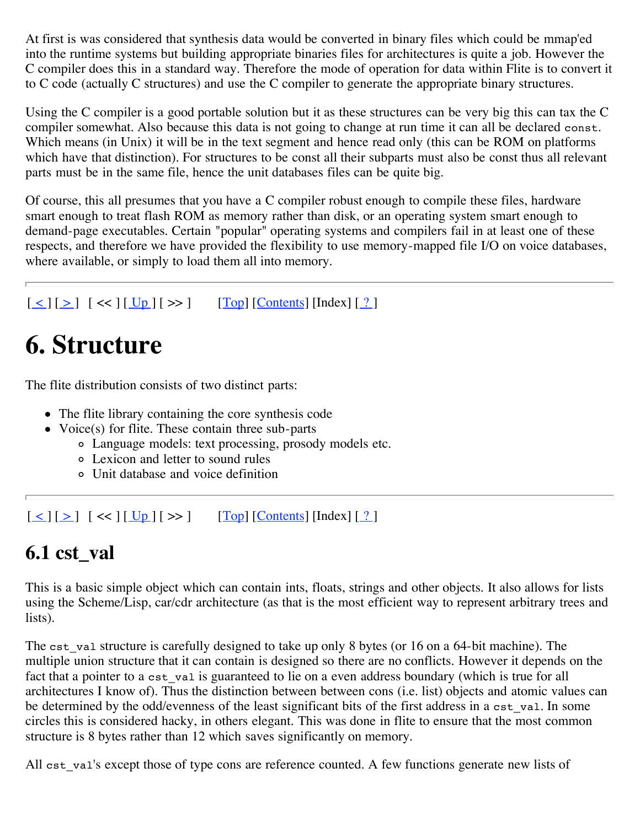At first is was considered that synthesis data would be converted in binary files which could be mmap'ed into the runtime systems but building appropriate binaries files for architectures is quite a job. However the C compiler does this in a standard way. Therefore the mode of operation for data within Flite is to convert it to C code (actually C structures) and use the C compiler to generate the appropriate binary structures.

Using the C compiler is a good portable solution but it as these structures can be very big this can tax the C compiler somewhat. Also because this data is not going to change at run time it can all be declared const. Which means (in Unix) it will be in the text segment and hence read only (this can be ROM on platforms which have that distinction). For structures to be const all their subparts must also be const thus all relevant parts must be in the same file, hence the unit databases files can be quite big.

Of course, this all presumes that you have a C compiler robust enough to compile these files, hardware smart enough to treat flash ROM as memory rather than disk, or an operating system smart enough to demand-page executables. Certain "popular" operating systems and compilers fail in at least one of these respects, and therefore we have provided the flexibility to use memory-mapped file I/O on voice databases, where available, or simply to load them all into memory.

```
[\leq] [\geq] [\leq] [\leq] [\underline{Up}][\geq] [\underline{Top}][\underline{Contents}][\underline{1}][\leq]
```
# **6. Structure**

The flite distribution consists of two distinct parts:

- The flite library containing the core synthesis code
- Voice(s) for flite. These contain three sub-parts
	- Language models: text processing, prosody models etc.
	- Lexicon and letter to sound rules
	- Unit database and voice definition

 $[\leq][\geq]$   $[\leq]$   $[\leq]$   $[\leq]$   $[\leq]$   $[\leq]$   $[\leq]$   $[\leq]$   $[\leq]$   $[\leq]$   $[\leq]$   $[\leq]$   $[\leq]$   $[\leq]$   $[\leq]$   $[\leq]$   $[\leq]$   $[\leq]$   $[\leq]$   $[\leq]$   $[\leq]$   $[\leq]$   $[\leq]$   $[\leq]$   $[\leq]$   $[\leq]$   $[\leq]$   $[\leq]$   $[\leq]$   $[\leq]$   $[\leq]$ 

## **6.1 cst\_val**

This is a basic simple object which can contain ints, floats, strings and other objects. It also allows for lists using the Scheme/Lisp, car/cdr architecture (as that is the most efficient way to represent arbitrary trees and lists).

The cst val structure is carefully designed to take up only 8 bytes (or 16 on a 64-bit machine). The multiple union structure that it can contain is designed so there are no conflicts. However it depends on the fact that a pointer to a cst val is guaranteed to lie on a even address boundary (which is true for all architectures I know of). Thus the distinction between between cons (i.e. list) objects and atomic values can be determined by the odd/evenness of the least significant bits of the first address in a cst val. In some circles this is considered hacky, in others elegant. This was done in flite to ensure that the most common structure is 8 bytes rather than 12 which saves significantly on memory.

All cst val's except those of type cons are reference counted. A few functions generate new lists of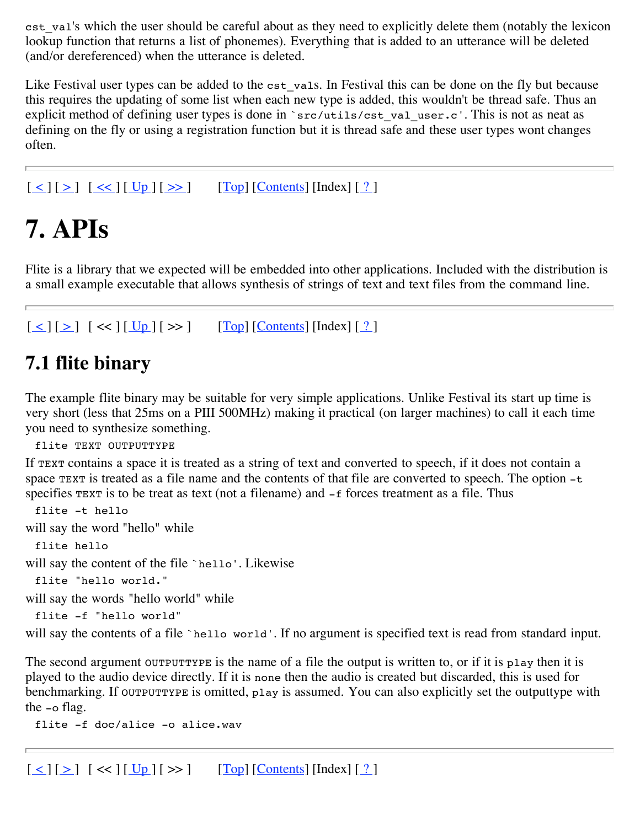cst\_val's which the user should be careful about as they need to explicitly delete them (notably the lexicon lookup function that returns a list of phonemes). Everything that is added to an utterance will be deleted (and/or dereferenced) when the utterance is deleted.

Like Festival user types can be added to the cst\_vals. In Festival this can be done on the fly but because this requires the updating of some list when each new type is added, this wouldn't be thread safe. Thus an explicit method of defining user types is done in `src/utils/cst\_val\_user.c'. This is not as neat as defining on the fly or using a registration function but it is thread safe and these user types wont changes often.

 $[\leq] [\geq] [\leq \leq] [\underline{Up}][\geq \geq]$   $[\underline{Top}][\underline{Contents}][\underline{new}][\leq \geq]$ 

# **7. APIs**

Flite is a library that we expected will be embedded into other applications. Included with the distribution is a small example executable that allows synthesis of strings of text and text files from the command line.

```
[\leq] [\geq] [\leq] [\leq] [\underline{Up}] [\geq] [\underline{Top}] [\underline{Contents}] [\underline{1}]
```
#### **7.1 flite binary**

The example flite binary may be suitable for very simple applications. Unlike Festival its start up time is very short (less that 25ms on a PIII 500MHz) making it practical (on larger machines) to call it each time you need to synthesize something.

flite TEXT OUTPUTTYPE

If TEXT contains a space it is treated as a string of text and converted to speech, if it does not contain a space TEXT is treated as a file name and the contents of that file are converted to speech. The option  $-t$ specifies TEXT is to be treat as text (not a filename) and  $-$ f forces treatment as a file. Thus

```
flite -t hello
will say the word "hello" while
 flite hello
will say the content of the file `hello'. Likewise
 flite "hello world."
will say the words "hello world" while
 flite -f "hello world"
```
will say the contents of a file `hello world'. If no argument is specified text is read from standard input.

The second argument our purty is the name of a file the output is written to, or if it is play then it is played to the audio device directly. If it is none then the audio is created but discarded, this is used for benchmarking. If OUTPUTTYPE is omitted, play is assumed. You can also explicitly set the outputtype with the -o flag.

```
flite -f doc/alice -o alice.wav
```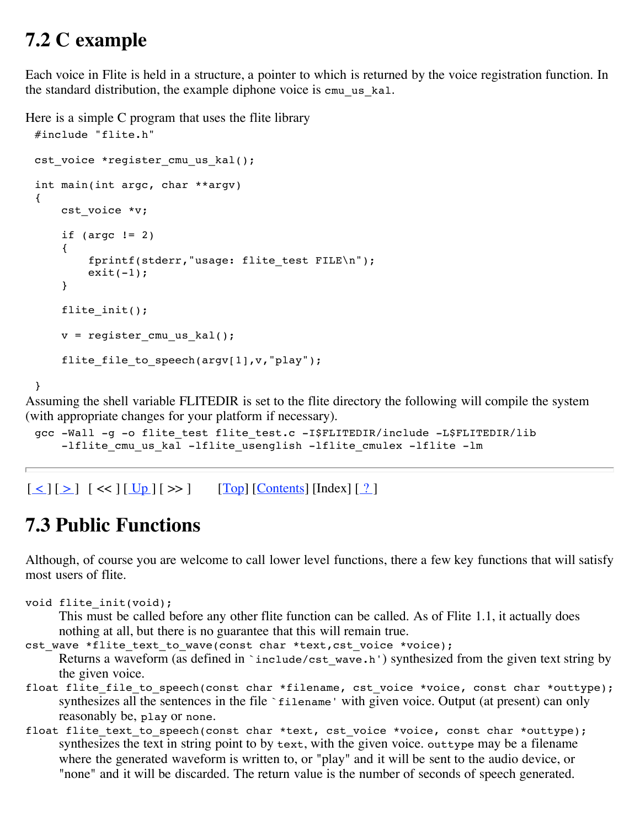#### **7.2 C example**

Each voice in Flite is held in a structure, a pointer to which is returned by the voice registration function. In the standard distribution, the example diphone voice is cmu\_us\_kal.

Here is a simple C program that uses the flite library

```
#include "flite.h"
cst_voice *register_cmu_us_kal();
int main(int argc, char **argv)
{
    cst_voice *v;
    if (argc != 2){
        fprintf(stderr,"usage: flite_test FILE\n");
        exit(-1);}
    flite_init();
    v = register_cmu_us_kal();
    flite_file_to_speech(argv[1],v,"play");
}
```
Assuming the shell variable FLITEDIR is set to the flite directory the following will compile the system (with appropriate changes for your platform if necessary).

```
gcc -Wall -g -o flite test flite test.c -I$FLITEDIR/include -L$FLITEDIR/lib
    -lflite cmu us kal -lflite usenglish -lflite cmulex -lflite -lm
```
 $\lceil \leq | \lceil \geq | \rceil \ll | \lceil \frac{Up}{\rceil} \rceil \gg | \qquad \lceil \frac{Top}{\rceil} \lceil \frac{Contents}{\rceil} \rceil$  [Index]  $\lceil \frac{?}{\rceil}$ 

### **7.3 Public Functions**

Although, of course you are welcome to call lower level functions, there a few key functions that will satisfy most users of flite.

```
void flite init(void);
```
This must be called before any other flite function can be called. As of Flite 1.1, it actually does nothing at all, but there is no guarantee that this will remain true.

cst wave \*flite text to wave(const char \*text, cst voice \*voice);

Returns a waveform (as defined in `include/cst\_wave.h') synthesized from the given text string by the given voice.

- float flite\_file\_to\_speech(const char \*filename, cst\_voice \*voice, const char \*outtype); synthesizes all the sentences in the file `filename' with given voice. Output (at present) can only reasonably be, play or none.
- float flite text to speech(const char \*text, cst voice \*voice, const char \*outtype); synthesizes the text in string point to by text, with the given voice. outtype may be a filename where the generated waveform is written to, or "play" and it will be sent to the audio device, or "none" and it will be discarded. The return value is the number of seconds of speech generated.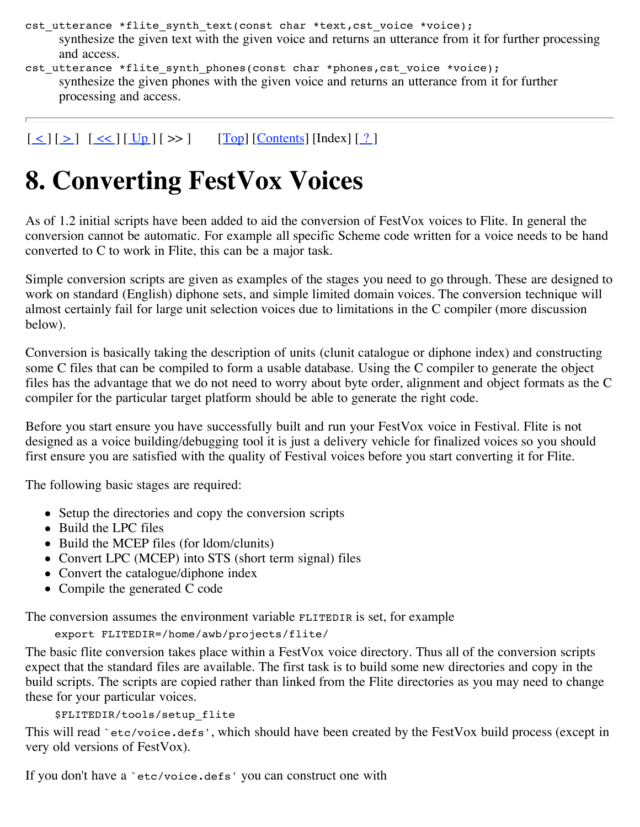- cst utterance \*flite synth text(const char \*text, cst voice \*voice); synthesize the given text with the given voice and returns an utterance from it for further processing and access.
- cst utterance \*flite synth phones(const char \*phones,cst voice \*voice); synthesize the given phones with the given voice and returns an utterance from it for further processing and access.

 $\lceil \leq | \lceil \geq | \lceil \leq \lfloor \lfloor \lfloor \log \rfloor \rfloor \rfloor \rceil \gg$   $\lceil \log \lceil \lfloor \frac{\text{Contents}}{\text{Contents}} \rceil \lceil \frac{\lceil \log \lfloor \frac{\ell}{2} \rceil \rceil}{\lceil \log \lfloor \frac{\ell}{2} \rceil \rceil} \rceil$ 

# **8. Converting FestVox Voices**

As of 1.2 initial scripts have been added to aid the conversion of FestVox voices to Flite. In general the conversion cannot be automatic. For example all specific Scheme code written for a voice needs to be hand converted to C to work in Flite, this can be a major task.

Simple conversion scripts are given as examples of the stages you need to go through. These are designed to work on standard (English) diphone sets, and simple limited domain voices. The conversion technique will almost certainly fail for large unit selection voices due to limitations in the C compiler (more discussion below).

Conversion is basically taking the description of units (clunit catalogue or diphone index) and constructing some C files that can be compiled to form a usable database. Using the C compiler to generate the object files has the advantage that we do not need to worry about byte order, alignment and object formats as the C compiler for the particular target platform should be able to generate the right code.

Before you start ensure you have successfully built and run your FestVox voice in Festival. Flite is not designed as a voice building/debugging tool it is just a delivery vehicle for finalized voices so you should first ensure you are satisfied with the quality of Festival voices before you start converting it for Flite.

The following basic stages are required:

- Setup the directories and copy the conversion scripts
- Build the LPC files
- Build the MCEP files (for ldom/clunits)
- Convert LPC (MCEP) into STS (short term signal) files
- Convert the catalogue/diphone index
- Compile the generated C code

The conversion assumes the environment variable FLITEDIR is set, for example

```
export FLITEDIR=/home/awb/projects/flite/
```
The basic flite conversion takes place within a FestVox voice directory. Thus all of the conversion scripts expect that the standard files are available. The first task is to build some new directories and copy in the build scripts. The scripts are copied rather than linked from the Flite directories as you may need to change these for your particular voices.

\$FLITEDIR/tools/setup\_flite

This will read `etc/voice.defs', which should have been created by the FestVox build process (except in very old versions of FestVox).

If you don't have a `etc/voice.defs' you can construct one with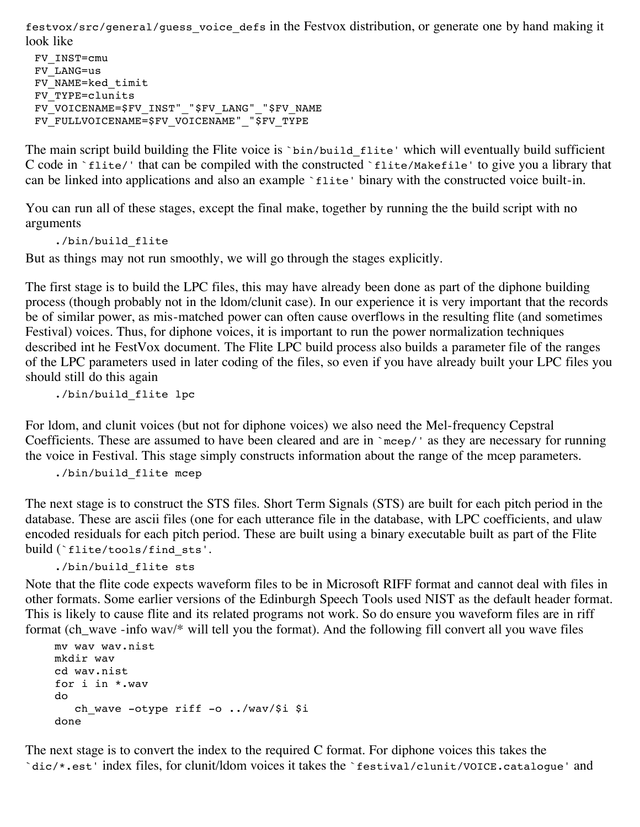festvox/src/general/guess\_voice\_defs in the Festvox distribution, or generate one by hand making it look like

FV\_INST=cmu FV\_LANG=us FV\_NAME=ked\_timit FV\_TYPE=clunits FV VOICENAME=\$FV INST" "\$FV LANG" "\$FV NAME FV\_FULLVOICENAME=\$FV\_VOICENAME"\_"\$FV\_TYPE

The main script build building the Flite voice is `bin/build\_flite' which will eventually build sufficient C code in `flite/' that can be compiled with the constructed `flite/Makefile' to give you a library that can be linked into applications and also an example `flite' binary with the constructed voice built-in.

You can run all of these stages, except the final make, together by running the the build script with no arguments

./bin/build\_flite

But as things may not run smoothly, we will go through the stages explicitly.

The first stage is to build the LPC files, this may have already been done as part of the diphone building process (though probably not in the ldom/clunit case). In our experience it is very important that the records be of similar power, as mis-matched power can often cause overflows in the resulting flite (and sometimes Festival) voices. Thus, for diphone voices, it is important to run the power normalization techniques described int he FestVox document. The Flite LPC build process also builds a parameter file of the ranges of the LPC parameters used in later coding of the files, so even if you have already built your LPC files you should still do this again

./bin/build\_flite lpc

For ldom, and clunit voices (but not for diphone voices) we also need the Mel-frequency Cepstral Coefficients. These are assumed to have been cleared and are in `mcep/' as they are necessary for running the voice in Festival. This stage simply constructs information about the range of the mcep parameters.

```
./bin/build_flite mcep
```
The next stage is to construct the STS files. Short Term Signals (STS) are built for each pitch period in the database. These are ascii files (one for each utterance file in the database, with LPC coefficients, and ulaw encoded residuals for each pitch period. These are built using a binary executable built as part of the Flite build (`flite/tools/find\_sts'.

./bin/build\_flite sts

Note that the flite code expects waveform files to be in Microsoft RIFF format and cannot deal with files in other formats. Some earlier versions of the Edinburgh Speech Tools used NIST as the default header format. This is likely to cause flite and its related programs not work. So do ensure you waveform files are in riff format (ch\_wave -info wav/\* will tell you the format). And the following fill convert all you wave files

```
mv wav wav.nist
mkdir wav
cd wav.nist
for i in *.wav
do
   ch wave -otype riff -o ../wav/$i $i
done
```
The next stage is to convert the index to the required C format. For diphone voices this takes the `dic/\*.est' index files, for clunit/ldom voices it takes the `festival/clunit/VOICE.catalogue' and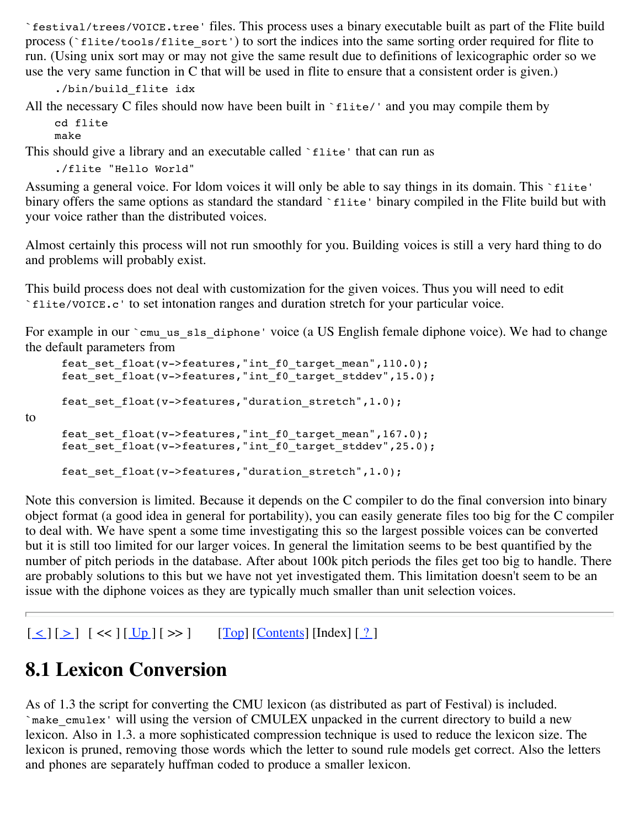`festival/trees/VOICE.tree' files. This process uses a binary executable built as part of the Flite build process (`flite/tools/flite\_sort') to sort the indices into the same sorting order required for flite to run. (Using unix sort may or may not give the same result due to definitions of lexicographic order so we use the very same function in C that will be used in flite to ensure that a consistent order is given.)

```
./bin/build_flite idx
```
All the necessary C files should now have been built in `flite/' and you may compile them by cd flite

```
make
```
to

This should give a library and an executable called 'flite' that can run as

```
./flite "Hello World"
```
Assuming a general voice. For ldom voices it will only be able to say things in its domain. This `flite' binary offers the same options as standard the standard `flite' binary compiled in the Flite build but with your voice rather than the distributed voices.

Almost certainly this process will not run smoothly for you. Building voices is still a very hard thing to do and problems will probably exist.

This build process does not deal with customization for the given voices. Thus you will need to edit `flite/VOICE.c' to set intonation ranges and duration stretch for your particular voice.

For example in our `cmu\_us\_sls\_diphone' voice (a US English female diphone voice). We had to change the default parameters from

```
feat set float(v->features,"int f0 target mean",110.0);
feat set float(v->features,"int f0 target stddev",15.0);
feat set float(v->features, "duration stretch", 1.0);
feat set float(v->features,"int f0 target mean",167.0);
feat_set_float(v->features,"int_f0_target_stddev",25.0);
feat set float(v->features, "duration stretch", 1.0);
```
Note this conversion is limited. Because it depends on the C compiler to do the final conversion into binary object format (a good idea in general for portability), you can easily generate files too big for the C compiler to deal with. We have spent a some time investigating this so the largest possible voices can be converted but it is still too limited for our larger voices. In general the limitation seems to be best quantified by the number of pitch periods in the database. After about 100k pitch periods the files get too big to handle. There are probably solutions to this but we have not yet investigated them. This limitation doesn't seem to be an issue with the diphone voices as they are typically much smaller than unit selection voices.

 $\lceil \leq | \lceil \geq | \rceil \ll | \lceil \frac{Up}{g} \rceil \ll \rceil$  [Top]  $\lceil \frac{\text{Contents}}{\text{Contents}} \rceil \lceil \frac{9}{2} \rceil$ 

## **8.1 Lexicon Conversion**

As of 1.3 the script for converting the CMU lexicon (as distributed as part of Festival) is included. `make\_cmulex' will using the version of CMULEX unpacked in the current directory to build a new lexicon. Also in 1.3. a more sophisticated compression technique is used to reduce the lexicon size. The lexicon is pruned, removing those words which the letter to sound rule models get correct. Also the letters and phones are separately huffman coded to produce a smaller lexicon.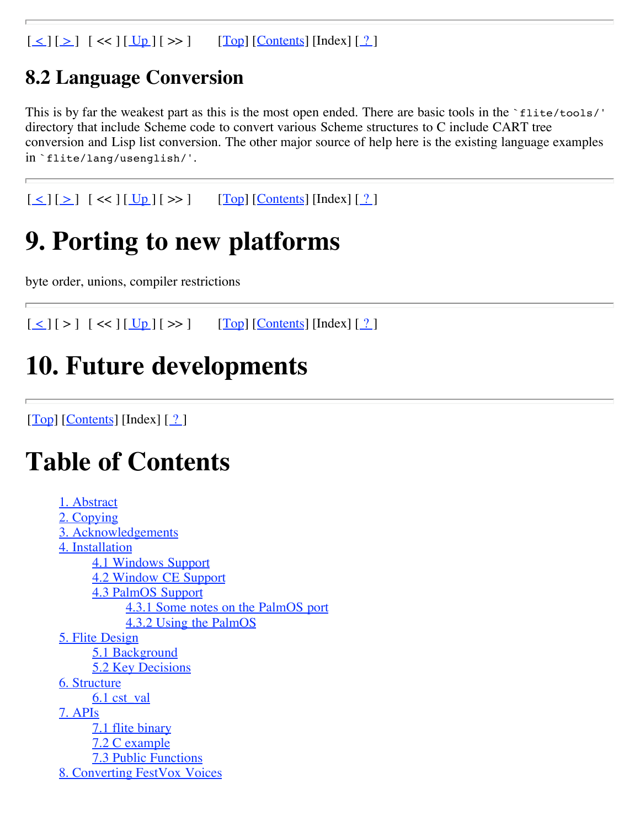$\lceil \leq | \lceil \geq | \rceil \ll | \lceil \frac{Up}{g} \rceil \ll \rceil$  [Top]  $\lceil \frac{\text{Contents}}{\text{Contents}} \rceil \lceil \frac{9}{2} \rceil$ 

#### **8.2 Language Conversion**

This is by far the weakest part as this is the most open ended. There are basic tools in the `flite/tools/' directory that include Scheme code to convert various Scheme structures to C include CART tree conversion and Lisp list conversion. The other major source of help here is the existing language examples in `flite/lang/usenglish/'.

 $[\leq] [\geq] [\leq] [\leq] [\underline{Up}][\geq]$   $[\underline{Top}][\underline{Contents}][\underline{1}][\leq]$ 

# **9. Porting to new platforms**

byte order, unions, compiler restrictions

 $[\leq] [\geq] [\leq] [\leq] [\underline{Up}][\geq]$   $[\underline{Top}][\underline{Contents}][\underline{In}]\in[?]$ 

## **10. Future developments**

 $[Top]$   $[Contents]$   $[Index]$   $[?]$ 

# **Table of Contents**

```
1. Abstract
2. Copying
3. Acknowledgements
4. Installation
     4.1 Windows Support
     4.2 Window CE Support
     4.3 PalmOS Support
           4.3.1 Some notes on the PalmOS port
           4.3.2 Using the PalmOS
5. Flite Design
     5.1 Background
     5.2 Key Decisions
6. Structure
     6.1 cst_val
7. APIs
     7.1 flite binary
     7.2 C example
     7.3 Public Functions
8. Converting FestVox Voices
```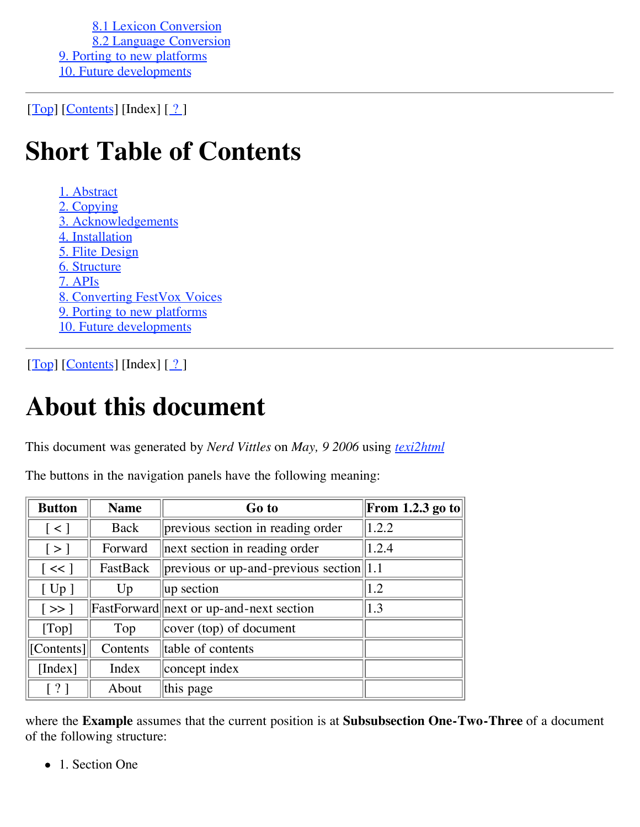8.1 Lexicon Conversion 8.2 Language Conversion 9. Porting to new platforms 10. Future developments

 $[Top]$   $[Contents]$   $[Index]$   $[?]$ 

# **Short Table of Contents**

1. Abstract 2. Copying 3. Acknowledgements 4. Installation 5. Flite Design 6. Structure 7. APIs 8. Converting FestVox Voices 9. Porting to new platforms 10. Future developments

 $[Top]$  [Contents] [Index]  $[?]$ 

# **About this document**

This document was generated by *Nerd Vittles* on *May, 9 2006* using *texi2html*

| The buttons in the navigation panels have the following meaning: |  |  |  |  |  |
|------------------------------------------------------------------|--|--|--|--|--|
|                                                                  |  |  |  |  |  |

| <b>Button</b>             | <b>Name</b> | Go to                                          | From 1.2.3 go to |
|---------------------------|-------------|------------------------------------------------|------------------|
| $\lceil$ < $\rceil$       | Back        | previous section in reading order              | 1.2.2            |
| $\lbrack \, > \, \rbrack$ | Forward     | next section in reading order                  | 1.2.4            |
| $\vert \ll \vert$         | FastBack    | $ previous\ or\ up- and-previous\ section 1.1$ |                  |
| [Up]                      | Up          | up section                                     | 1.2              |
| $\vert \gg \vert$         |             | FastForward next or up-and-next section        | 1.3              |
| [Top]                     | Top         | cover (top) of document                        |                  |
| [Contents]                | Contents    | table of contents                              |                  |
| [Index]                   | Index       | concept index                                  |                  |
| $\lceil ? \rceil$         | About       | this page                                      |                  |

where the **Example** assumes that the current position is at **Subsubsection One-Two-Three** of a document of the following structure:

• 1. Section One